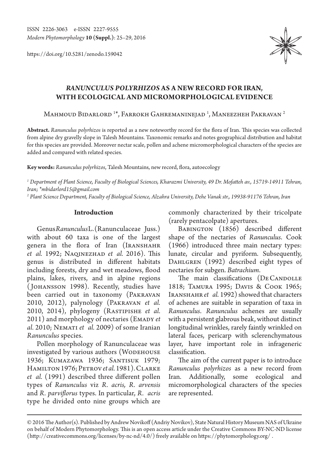https://doi.org/10.5281/zenodo.159042



# *RANUNCULUS POLYRHIZOS* **AS A NEW RECORD FOR IRAN, WITH ECOLOGICAL AND MICROMORPHOLOGICAL EVIDENCE**

Mahmoud Bidarlord  $^{1*}$ , Farrokh Gahremaninejad  $^{1}$ , Maneezheh Pakravan  $^{2}$ 

**Abstract.** *Ranunculus polyrhizos* is reported as a new noteworthy record for the flora of Iran. This species was collected from alpine dry gravelly slope in Talesh Mountains. Taxonomic remarks and notes geographical distribution and habitat for this species are provided. Moreover nectar scale, pollen and achene micromorphological characters of the species are added and compared with related species.

**Key words:** *Ranunculus polyrhizos*, Talesh Mountains, new record, flora, autoecology

*1 Department of Plant Science, Faculty of Biological Sciences, Kharazmi University, 49 Dr. Mofatteh av., 15719-14911 Tehran, Iran; \*mbidarlord15@gmail.com*

*2 Plant Science Department, Faculty of Biological Science, Alzahra University, Dehe Vanak str., 19938-91176 Tehran, Iran*

### **Introduction**

Genus *Ranunculus* L. (Ranunculaceae Juss.) with about 60 taxa is one of the largest genera in the flora of Iran (IRANSHAHR *et al.* 1992; Naqinezhad *et al.* 2016). This genus is distributed in different habitats including forests, dry and wet meadows, flood plains, lakes, rivers, and in alpine regions ( Johansson 1998). Recently, studies have been carried out in taxonomy (Pakravan 2010, 2012), palynology (Pakravan *et al.* 2010, 2014), phylogeny (Rastipishe *et al.* 2011) and morphology of nectaries (EMADY et *al.* 2010; Nemati *et al.* 2009) of some Iranian *Ranunculus* species.

Pollen morphology of Ranunculaceae was investigated by various authors (WODEHOUSE 1936; Kumazawa 1936; Santisuk 1979; Hamilton 1976; Petrov*et al.* 1981). Clarke *et al.* (1991) described three different pollen types of *Ranunculus* viz *R. acris, R. arvensis*  and *R. parviflorus* types. In particular, *R. acris* type he divided onto nine groups which are

commonly characterized by their tricolpate (rarely pentacolpate) apertures.

BABINGTON (1856) described different shape of the nectaries of *Ranunculus*. Cook (1966) introduced three main nectary types: lunate, circular and pyriform. Subsequently, DAHLGREN (1992) described eight types of nectaries for subgen. *Batrachium*.

The main classifications (DECANDOLLE 1818; Tamura 1995; Davis & Cook 1965; IRANSHAHR *et* al. 1992) showed that characters of achenes are suitable in separation of taxa in *Ranunculus*. *Ranunculus* achenes are usually with a persistent glabrous beak, without distinct longitudinal wrinkles, rarely faintly wrinkled on lateral faces, pericarp with sclerenchymatous layer, have important role in infrageneric classification.

The aim of the current paper is to introduce *Ranunculus polyrhizos* as a new record from Iran. Additionally, some ecological and micromorphological characters of the species are represented.

<sup>© 2016</sup> The Author(s). Published by Andrew Novikoff (Andriy Novikov), State Natural History Museum NAS of Ukraine on behalf of Modern Phytomorphology. This is an open access article under the Creative Commons BY-NC-ND license (http://creativecommons.org/licenses/by-nc-nd/4.0/) freely available on https://phytomorphology.org/ .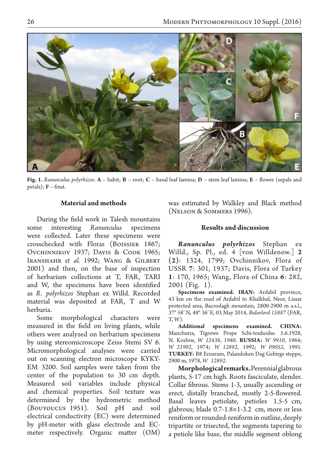

**Fig. 1.** *Ranunculus polyrhizos*: **A** – habit; **B** – root; **C** – basal leaf lamina; **D** – stem leaf lamina; **E** – flower (sepals and petals); **F** – friut.

## **Material and methods**

During the field work in Talesh mountains some interesting *Ranunculus* specimens were collected. Later these specimens were crosschecked with Floras (Boissier 1867; Ovchinnikov 1937; Davis & Cook 1965; Iranshahr *et al.* 1992; Wang & Gilbert 2001) and then, on the base of inspection of herbarium collections at T, FAR, TARI and W, the specimens have been identified as *R. polyrhizos* Stephan ex Willd. Recorded material was deposited at FAR, T and W herbaria.

Some morphological characters were measured in the field on living plants, while others were analyzed on herbarium specimens by using stereomicroscope Zeiss Stemi SV 6. Micromorphological analyses were carried out on scanning electron microscope KYKY-EM 3200. Soil samples were taken from the center of the population to 30 cm depth. Measured soil variables include physical and chemical properties. Soil texture was determined by the hydrometric method (Bouyoucus 1951). Soil pH and soil electrical conductivity (EC) were determined by pH-meter with glass electrode and ECmeter respectively. Organic matter (OM) was estimated by Walkley and Black method (Nelson & Sommers 1996).

## **Results and discussion**

*Ranunculus polyrhizos* Stephan ex Willd., Sp. Pl., ed. 4 [von Willdenow.] **2 (2)**: 1324, 1799; Ovchinnikov, Flora of USSR **7**: 301, 1937; Davis, Flora of Turkey **1**: 170, 1965; Wang, Flora of China **6**: 282, 2001 (Fig. 1).

**Specimens examined. IRAN:** Ardabil province, 43 km on the road of Ardabil to Khalkhal, Neor, Lissar protected area, Bacrodagh mountain, 2800-2900 m a.s.l., 37° 58′ N, 48° 36′ E, 03 May 2014, *Bidarlord 15887* (FAR, T, W).

**Additional specimens examined. CHINA:**  Manchuria, Tigrowe Prope Schi-touhodse. 5.6.1928, N. Kozlow, *W 12438*, 1940. **RUSSIA:** *W 9910*, 1964; *W 21992*, 1974; *W 12892*, 1992; *W 09052*, 1991. **TURKEY:** B8 Erzurum, Palandoken Dag Gebirgs steppe, 2900 m, 1978, *W 12892*.

**Morphological remarks.** Perennial glabrous plants, 5-17 cm high. Roots fasciculate, slender. Collar fibrous. Stems 1-3, usually ascending or erect, distally branched, mostly 2-5-flowered. Basal leaves petiolate, petioles 1.5-5 cm, glabrous; blade 0.7-1.8×1-3.2 cm, more or less reniform or rounded-reniform in outline, deeply tripartite or trisected, the segments tapering to a petiole like base, the middle segment oblong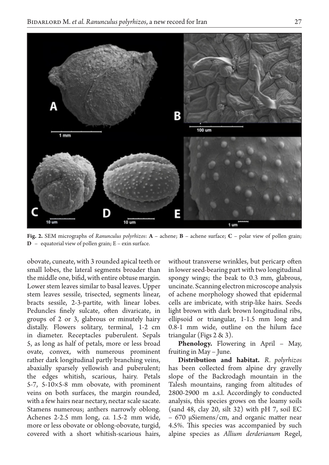

**Fig. 2.** SEM micrographs of *Ranunculus polyrhizos*: **A** – achene; **B** – achene surface; **C** – polar view of pollen grain; **D** – equatorial view of pollen grain; E – exin surface.

obovate, cuneate, with 3 rounded apical teeth or small lobes, the lateral segments broader than the middle one, bifid, with entire obtuse margin. Lower stem leaves similar to basal leaves. Upper stem leaves sessile, trisected, segments linear, bracts sessile, 2-3-partite, with linear lobes. Peduncles finely sulcate, often divaricate, in groups of 2 or 3, glabrous or minutely hairy distally. Flowers solitary, terminal, 1-2 cm in diameter. Receptacles puberulent. Sepals 5, as long as half of petals, more or less broad ovate, convex, with numerous prominent rather dark longitudinal partly branching veins, abaxially sparsely yellowish and puberulent; the edges whitish, scarious, hairy. Petals 5-7, 5-10×5-8 mm obovate, with prominent veins on both surfaces, the margin rounded, with a few hairs near nectary, nectar scale sacate. Stamens numerous; anthers narrowly oblong. Achenes 2-2.5 mm long, *ca.* 1.5-2 mm wide, more or less obovate or oblong-obovate, turgid, covered with a short whitish-scarious hairs,

without transverse wrinkles, but pericarp often in lower seed-bearing part with two longitudinal spongy wings; the beak to 0.3 mm, glabrous, uncinate. Scanning electron microscope analysis of achene morphology showed that epidermal cells are imbricate, with strip-like hairs. Seeds light brown with dark brown longitudinal ribs, ellipsoid or triangular, 1-1.5 mm long and 0.8-1 mm wide, outline on the hilum face triangular (Figs 2 & 3).

**Phenology.** Flowering in April – May, fruiting in May – June.

**Distribution and habitat.** *R. polyrhizos*  has been collected from alpine dry gravelly slope of the Backrodagh mountain in the Talesh mountains, ranging from altitudes of 2800-2900 m a.s.l. Accordingly to conducted analysis, this species grows on the loamy soils (sand 48, clay 20, silt 32) with pH 7, soil EC – 670 µSiemens/cm, and organic matter near 4.5%. This species was accompanied by such alpine species as *Allium derderianum* Regel,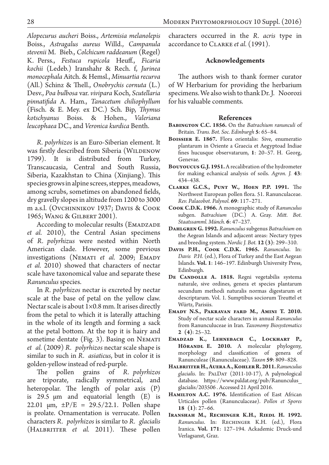*Alopecurus aucheri* Boiss., *Artemisia melanolepis* Boiss., *Astragalus aureus* Willd., *Campanula stevenii* M. Bieb., *Colchicum raddeanum* (Regel) K. Perss., *Festuca rupicola* Heuff., *Ficaria kochii* (Ledeb.) Iranshahr & Rech. f, *Jurinea monocephala* Aitch. & Hemsl., *Minuartia recurva*  (All.) Schinz & Thell., *Onobrychis cornuta* (L.) Desv., *Poa bulbosa* var. *vivipara* Koch, *Scutellaria pinnatifida* A. Ham., *Tanacetum chiliophyllum*  (Fisch. & E. Mey. ex DC.) Sch. Bip, *Thymus kotschyanus* Boiss. & Hohen., *Valeriana leucophaea* DC., and *Veronica kurdica* Benth.

*R. polyrhizos* is an Euro-Siberian element. It was firstly described from Siberia (WILDENOW 1799). It is distributed from Turkey, Transcaucasia, Central and South Russia, Siberia, Kazakhstan to China (Xinjiang). This species grows in alpine screes, steppes, meadows, among scrubs, sometimes on abandoned fields, dry gravelly slopes in altitude from 1200 to 3000 m a.s.l. (Ovchinnikov 1937; Davis & Cook 1965; Wang & Gilbert 2001).

According to molecular results (EMADZADE *et al.* 2010), the Central Asian specimens of *R. polyrhizus* were nested within North American clade. However, some previous investigations (NEMATI et al. 2009; EMADY *et al.* 2010) showed that characters of nectar scale have taxonomical value and separate these *Ranunculus* species.

In *R. polyrhizos* nectar is excreted by nectar scale at the base of petal on the yellow claw. Nectar scale is about 1×0.8 mm. It arises directly from the petal to which it is laterally attaching in the whole of its length and forming a sack at the petal bottom. At the top it is hairy and sometime dentate (Fig. 3). Basing on NEMATI *et al.* (2009) *R. polyrhizos* nectar scale shape is similar to such in *R. asiaticus*, but in color it is golden-yellow instead of red-purple.

The pollen grains of *R. polyrhizos*  are triporate, radically symmetrical, and heteropolar. The length of polar axis (P) is 29.5  $\mu$ m and equatorial length (E) is 22.01  $\mu$ m,  $\pm P/E = 29.5/22.1$ . Pollen shape is prolate. Ornamentation is verrucate. Pollen characters *R. polyrhizos* is similar to *R. glacialis* (HALBRITTER *et al.* 2011). These pollen characters occurred in the *R. acris* type in accordance to Clarke *et al.* (1991).

#### **Acknowledgements**

The authors wish to thank former curator of W Herbarium for providing the herbarium specimens. We also wish to thank Dr. J. Noorozi for his valuable comments.

#### **References**

- **Babington C.C. 1856.** On the *Batrachium ranunculi* of Britain. *Trans. Bot. Soc. Edinburgh* **5**: 65–84.
- **Boissier E. 1867.** Flora orientalis: Sive, enumeratio plantarum in Oriente a Graecia et Aegyptoad Indiae fines hucusque observatarum, **1**: 20–57. H. Georg, Genevae.
- **Bouyoucus G.J. 1951.** A recalibration of the hydrometer for making echanical analysis of soils. *Agron. J.* **43**: 434–438.
- **Clarke G.C.S., Punt W., Hoen P.P. 1991.** The Northwest European pollen flora. 51. Ranunculaceae. *Rev. Palaeobot. Palynol.* **69**: 117–271.
- **Cook C.D.K. 1966.** A monographic study of *Ranunculus* subgen. *Batrachium* (DC.) A. Gray. *Mitt. Bot. Staatssamml. Münch.* **6**: 47–237.
- **Dahlgren G. 1992.** *Ranunculus* subgenus *Batrachium* on the Aegean Islands and adjacent areas: Nectary types and breeding system. *Nordic J. Bot.* **12 (3)**: 299–310.
- **Davis P.H., Cook C.D.K. 1965.** *Ranunculus*. In: *Davis P.H.* (ed.), Flora of Turkey and the East Aegean Islands. **Vol. 1**: 146–197. Edinburgh University Press, Edinburgh.
- DE CANDOLLE A. 1818. Regni vegetabilis systema naturale, sive ordines, genera et species plantarum secundum methodi naturalis normas digestarum et descriptarum. Vol. 1. Sumptibus sociorum Treuttel et Würtz, Parisiis.
- **Emady N.S., Pakravan fard M., Amini T. 2010.**  Study of nectar scale characters in annual *Ranunculus* from Ranunculuceae in Iran. *Taxonomy Biosystematics* **2 (4)**: 25–32.
- **Emadzad K., Lehnebach C., Lockhart P., Hörandl E. 2010.** A molecular phylogeny, morphology and classification of genera of Ranunculeae (Ranunculaceae). *Taxon* **59**: 809–828.
- **Halbritter H., Auera A., Kohler R. 2011.***Ranunculus glacialis*. In: PalDat (2011-10-17), A palynological database. https://www.paldat.org/pub/Ranunculus\_ glacialis/203506 . Accessed 21 April 2016.
- **Hamilton A.C. 1976.** Identification of East African Urticales pollen (Ranunculaceae). *Pollen et Spores* **18 (1)**: 27–66.
- **Iranshah M., Rechinger K.H., Riedl H. 1992.**  *Ranunculus*. In: Rechinger K.H. (ed.), Flora Iranica. **Vol. 171**: 127–194. Ackademic Druck-und Verlagsanst, Graz.